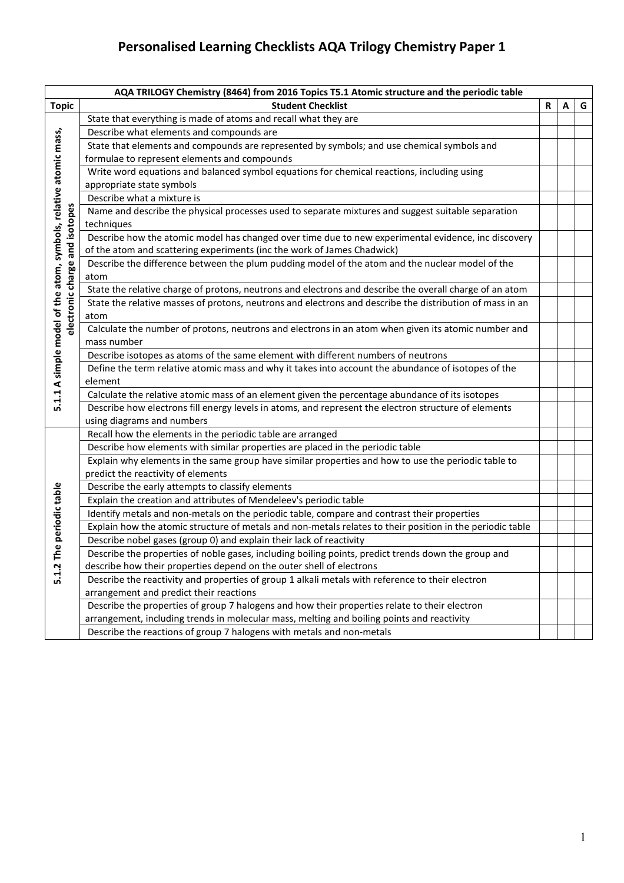## **Personalised Learning Checklists AQA Trilogy Chemistry Paper 1**

| AQA TRILOGY Chemistry (8464) from 2016 Topics T5.1 Atomic structure and the periodic table |                                                                                                           |   |   |   |
|--------------------------------------------------------------------------------------------|-----------------------------------------------------------------------------------------------------------|---|---|---|
| <b>Topic</b>                                                                               | <b>Student Checklist</b>                                                                                  | R | A | G |
|                                                                                            | State that everything is made of atoms and recall what they are                                           |   |   |   |
|                                                                                            | Describe what elements and compounds are                                                                  |   |   |   |
|                                                                                            | State that elements and compounds are represented by symbols; and use chemical symbols and                |   |   |   |
|                                                                                            | formulae to represent elements and compounds                                                              |   |   |   |
|                                                                                            | Write word equations and balanced symbol equations for chemical reactions, including using                |   |   |   |
|                                                                                            | appropriate state symbols                                                                                 |   |   |   |
|                                                                                            | Describe what a mixture is                                                                                |   |   |   |
|                                                                                            | Name and describe the physical processes used to separate mixtures and suggest suitable separation        |   |   |   |
|                                                                                            | techniques                                                                                                |   |   |   |
|                                                                                            | Describe how the atomic model has changed over time due to new experimental evidence, inc discovery       |   |   |   |
|                                                                                            | of the atom and scattering experiments (inc the work of James Chadwick)                                   |   |   |   |
|                                                                                            | Describe the difference between the plum pudding model of the atom and the nuclear model of the           |   |   |   |
|                                                                                            | atom                                                                                                      |   |   |   |
| electronic charge and isotopes                                                             | State the relative charge of protons, neutrons and electrons and describe the overall charge of an atom   |   |   |   |
|                                                                                            | State the relative masses of protons, neutrons and electrons and describe the distribution of mass in an  |   |   |   |
|                                                                                            | atom                                                                                                      |   |   |   |
|                                                                                            | Calculate the number of protons, neutrons and electrons in an atom when given its atomic number and       |   |   |   |
|                                                                                            | mass number                                                                                               |   |   |   |
| 5.1.1 A simple model of the atom, symbols, relative atomic mass,                           | Describe isotopes as atoms of the same element with different numbers of neutrons                         |   |   |   |
|                                                                                            | Define the term relative atomic mass and why it takes into account the abundance of isotopes of the       |   |   |   |
|                                                                                            | element                                                                                                   |   |   |   |
|                                                                                            | Calculate the relative atomic mass of an element given the percentage abundance of its isotopes           |   |   |   |
|                                                                                            | Describe how electrons fill energy levels in atoms, and represent the electron structure of elements      |   |   |   |
|                                                                                            | using diagrams and numbers                                                                                |   |   |   |
|                                                                                            | Recall how the elements in the periodic table are arranged                                                |   |   |   |
|                                                                                            | Describe how elements with similar properties are placed in the periodic table                            |   |   |   |
|                                                                                            | Explain why elements in the same group have similar properties and how to use the periodic table to       |   |   |   |
|                                                                                            | predict the reactivity of elements                                                                        |   |   |   |
|                                                                                            | Describe the early attempts to classify elements                                                          |   |   |   |
|                                                                                            | Explain the creation and attributes of Mendeleev's periodic table                                         |   |   |   |
|                                                                                            | Identify metals and non-metals on the periodic table, compare and contrast their properties               |   |   |   |
|                                                                                            | Explain how the atomic structure of metals and non-metals relates to their position in the periodic table |   |   |   |
| he periodic table                                                                          | Describe nobel gases (group 0) and explain their lack of reactivity                                       |   |   |   |
| $5.1.2$ T                                                                                  | Describe the properties of noble gases, including boiling points, predict trends down the group and       |   |   |   |
|                                                                                            | describe how their properties depend on the outer shell of electrons                                      |   |   |   |
|                                                                                            | Describe the reactivity and properties of group 1 alkali metals with reference to their electron          |   |   |   |
|                                                                                            | arrangement and predict their reactions                                                                   |   |   |   |
|                                                                                            | Describe the properties of group 7 halogens and how their properties relate to their electron             |   |   |   |
|                                                                                            | arrangement, including trends in molecular mass, melting and boiling points and reactivity                |   |   |   |
|                                                                                            | Describe the reactions of group 7 halogens with metals and non-metals                                     |   |   |   |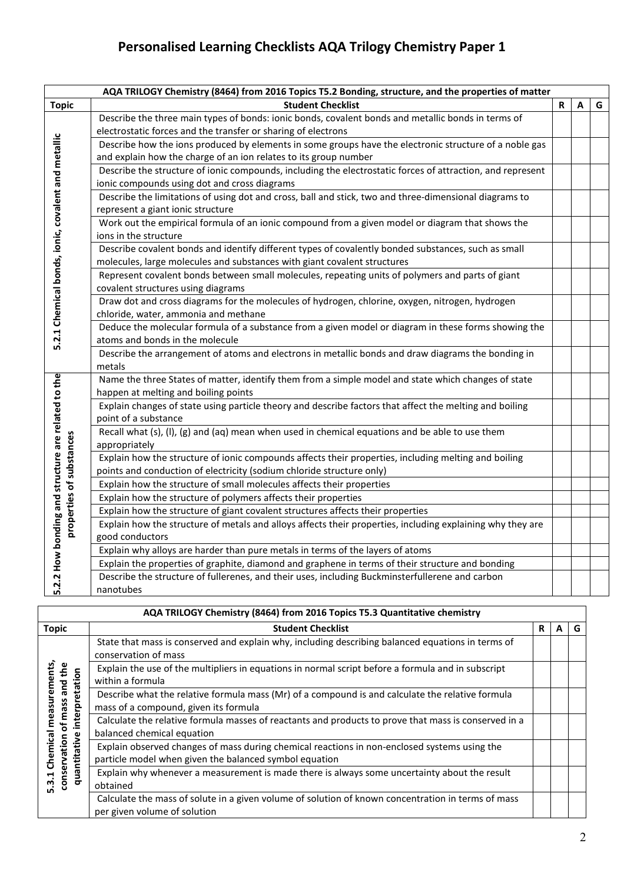## **Personalised Learning Checklists AQA Trilogy Chemistry Paper 1**

|                                                    | AQA TRILOGY Chemistry (8464) from 2016 Topics T5.2 Bonding, structure, and the properties of matter                                                        |   |   |   |
|----------------------------------------------------|------------------------------------------------------------------------------------------------------------------------------------------------------------|---|---|---|
| <b>Topic</b>                                       | <b>Student Checklist</b>                                                                                                                                   | R | A | G |
|                                                    | Describe the three main types of bonds: ionic bonds, covalent bonds and metallic bonds in terms of                                                         |   |   |   |
|                                                    | electrostatic forces and the transfer or sharing of electrons                                                                                              |   |   |   |
|                                                    | Describe how the ions produced by elements in some groups have the electronic structure of a noble gas                                                     |   |   |   |
|                                                    | and explain how the charge of an ion relates to its group number                                                                                           |   |   |   |
|                                                    | Describe the structure of ionic compounds, including the electrostatic forces of attraction, and represent<br>ionic compounds using dot and cross diagrams |   |   |   |
|                                                    | Describe the limitations of using dot and cross, ball and stick, two and three-dimensional diagrams to                                                     |   |   |   |
|                                                    | represent a giant ionic structure                                                                                                                          |   |   |   |
| 5.2.1 Chemical bonds, ionic, covalent and metallic | Work out the empirical formula of an ionic compound from a given model or diagram that shows the<br>ions in the structure                                  |   |   |   |
|                                                    | Describe covalent bonds and identify different types of covalently bonded substances, such as small                                                        |   |   |   |
|                                                    | molecules, large molecules and substances with giant covalent structures                                                                                   |   |   |   |
|                                                    | Represent covalent bonds between small molecules, repeating units of polymers and parts of giant                                                           |   |   |   |
|                                                    | covalent structures using diagrams                                                                                                                         |   |   |   |
|                                                    | Draw dot and cross diagrams for the molecules of hydrogen, chlorine, oxygen, nitrogen, hydrogen                                                            |   |   |   |
|                                                    | chloride, water, ammonia and methane                                                                                                                       |   |   |   |
|                                                    | Deduce the molecular formula of a substance from a given model or diagram in these forms showing the                                                       |   |   |   |
|                                                    | atoms and bonds in the molecule                                                                                                                            |   |   |   |
|                                                    | Describe the arrangement of atoms and electrons in metallic bonds and draw diagrams the bonding in<br>metals                                               |   |   |   |
|                                                    | Name the three States of matter, identify them from a simple model and state which changes of state                                                        |   |   |   |
|                                                    | happen at melting and boiling points                                                                                                                       |   |   |   |
|                                                    | Explain changes of state using particle theory and describe factors that affect the melting and boiling                                                    |   |   |   |
|                                                    | point of a substance                                                                                                                                       |   |   |   |
|                                                    | Recall what (s), (l), (g) and (aq) mean when used in chemical equations and be able to use them                                                            |   |   |   |
| properties of substances                           | appropriately                                                                                                                                              |   |   |   |
|                                                    | Explain how the structure of ionic compounds affects their properties, including melting and boiling                                                       |   |   |   |
|                                                    | points and conduction of electricity (sodium chloride structure only)                                                                                      |   |   |   |
|                                                    | Explain how the structure of small molecules affects their properties                                                                                      |   |   |   |
|                                                    | Explain how the structure of polymers affects their properties                                                                                             |   |   |   |
|                                                    | Explain how the structure of giant covalent structures affects their properties                                                                            |   |   |   |
|                                                    | Explain how the structure of metals and alloys affects their properties, including explaining why they are                                                 |   |   |   |
|                                                    | good conductors                                                                                                                                            |   |   |   |
| 2.2 How bonding and structure are related to the   | Explain why alloys are harder than pure metals in terms of the layers of atoms                                                                             |   |   |   |
|                                                    | Explain the properties of graphite, diamond and graphene in terms of their structure and bonding                                                           |   |   |   |
|                                                    | Describe the structure of fullerenes, and their uses, including Buckminsterfullerene and carbon                                                            |   |   |   |
| ம்                                                 | nanotubes                                                                                                                                                  |   |   |   |

| AQA TRILOGY Chemistry (8464) from 2016 Topics T5.3 Quantitative chemistry |                                                                                                                                                        |   |   |   |  |  |
|---------------------------------------------------------------------------|--------------------------------------------------------------------------------------------------------------------------------------------------------|---|---|---|--|--|
| <b>Topic</b>                                                              | <b>Student Checklist</b>                                                                                                                               | R | А | G |  |  |
|                                                                           | State that mass is conserved and explain why, including describing balanced equations in terms of<br>conservation of mass                              |   |   |   |  |  |
|                                                                           | Explain the use of the multipliers in equations in normal script before a formula and in subscript<br>within a formula                                 |   |   |   |  |  |
| measurements<br>of mass and the<br>interpretation                         | Describe what the relative formula mass (Mr) of a compound is and calculate the relative formula<br>mass of a compound, given its formula              |   |   |   |  |  |
|                                                                           | Calculate the relative formula masses of reactants and products to prove that mass is conserved in a<br>balanced chemical equation                     |   |   |   |  |  |
| Chemical<br>quantitative<br>conservation                                  | Explain observed changes of mass during chemical reactions in non-enclosed systems using the<br>particle model when given the balanced symbol equation |   |   |   |  |  |
| 5.3.1                                                                     | Explain why whenever a measurement is made there is always some uncertainty about the result<br>obtained                                               |   |   |   |  |  |
|                                                                           | Calculate the mass of solute in a given volume of solution of known concentration in terms of mass<br>per given volume of solution                     |   |   |   |  |  |